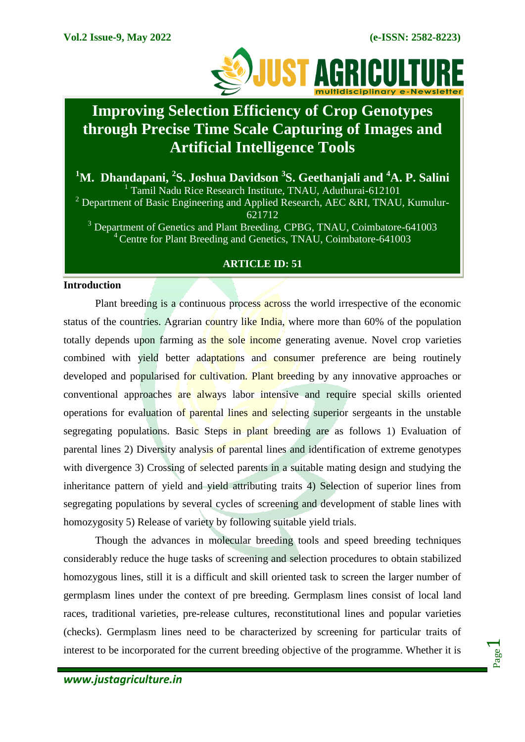

# **Improving Selection Efficiency of Crop Genotypes through Precise Time Scale Capturing of Images and Artificial Intelligence Tools**

**<sup>1</sup>M. Dhandapani, <sup>2</sup> S. Joshua Davidson <sup>3</sup> S. Geethanjali and <sup>4</sup>A. P. Salini** <sup>1</sup> Tamil Nadu Rice Research Institute, TNAU, Aduthurai-612101  $2$  Department of Basic Engineering and Applied Research, AEC &RI, TNAU, Kumulur-621712 <sup>3</sup> Department of Genetics and Plant Breeding, CPBG, TNAU, Coimbatore-641003 <sup>4</sup> Centre for Plant Breeding and Genetics, TNAU, Coimbatore-641003

## **ARTICLE ID: 51**

### **Introduction**

Plant breeding is a continuous process across the world irrespective of the economic status of the countries. Agrarian country like India, where more than 60% of the population totally depends upon farming as the sole income generating avenue. Novel crop varieties combined with yield better adaptations and consumer preference are being routinely developed and popularised for cultivation. Plant breeding by any innovative approaches or conventional approaches are always labor intensive and require special skills oriented operations for evaluation of parental lines and selecting superior sergeants in the unstable segregating populations. Basic Steps in plant breeding are as follows 1) Evaluation of parental lines 2) Diversity analysis of parental lines and identification of extreme genotypes with divergence 3) Crossing of selected parents in a suitable mating design and studying the inheritance pattern of yield and yield attributing traits 4) Selection of superior lines from segregating populations by several cycles of screening and development of stable lines with homozygosity 5) Release of variety by following suitable yield trials.

Though the advances in molecular breeding tools and speed breeding techniques considerably reduce the huge tasks of screening and selection procedures to obtain stabilized homozygous lines, still it is a difficult and skill oriented task to screen the larger number of germplasm lines under the context of pre breeding. Germplasm lines consist of local land races, traditional varieties, pre-release cultures, reconstitutional lines and popular varieties (checks). Germplasm lines need to be characterized by screening for particular traits of interest to be incorporated for the current breeding objective of the programme. Whether it is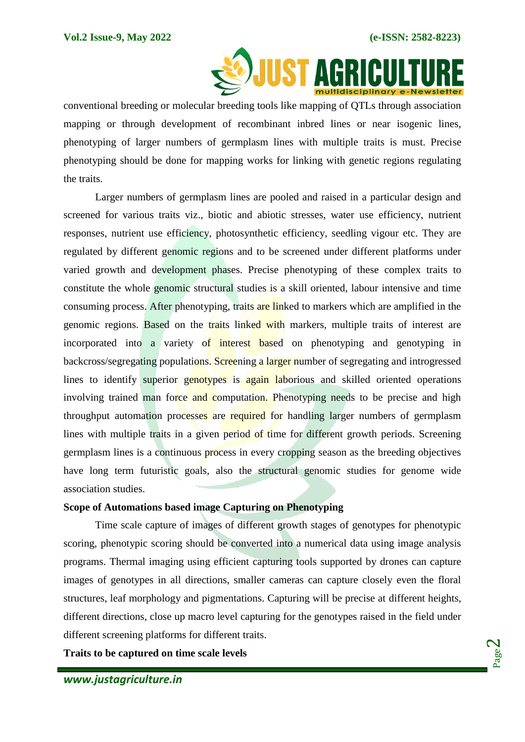

conventional breeding or molecular breeding tools like mapping of QTLs through association mapping or through development of recombinant inbred lines or near isogenic lines, phenotyping of larger numbers of germplasm lines with multiple traits is must. Precise phenotyping should be done for mapping works for linking with genetic regions regulating the traits.

Larger numbers of germplasm lines are pooled and raised in a particular design and screened for various traits viz., biotic and abiotic stresses, water use efficiency, nutrient responses, nutrient use efficiency, photosynthetic efficiency, seedling vigour etc. They are regulated by different genomic regions and to be screened under different platforms under varied growth and development phases. Precise phenotyping of these complex traits to constitute the whole genomic structural studies is a skill oriented, labour intensive and time consuming process. After phenotyping, traits are linked to markers which are amplified in the genomic regions. Based on the traits linked with markers, multiple traits of interest are incorporated into a variety of interest based on phenotyping and genotyping in backcross/segregating populations. Screening a larger number of segregating and introgressed lines to identify superior genotypes is again laborious and skilled oriented operations involving trained man force and computation. Phenotyping needs to be precise and high throughput automation processes are required for handling larger numbers of germplasm lines with multiple traits in a given period of time for different growth periods. Screening germplasm lines is a continuous process in every cropping season as the breeding objectives have long term futuristic goals, also the structural genomic studies for genome wide association studies.

## **Scope of Automations based image Capturing on Phenotyping**

Time scale capture of images of different growth stages of genotypes for phenotypic scoring, phenotypic scoring should be converted into a numerical data using image analysis programs. Thermal imaging using efficient capturing tools supported by drones can capture images of genotypes in all directions, smaller cameras can capture closely even the floral structures, leaf morphology and pigmentations. Capturing will be precise at different heights, different directions, close up macro level capturing for the genotypes raised in the field under different screening platforms for different traits.

**Traits to be captured on time scale levels**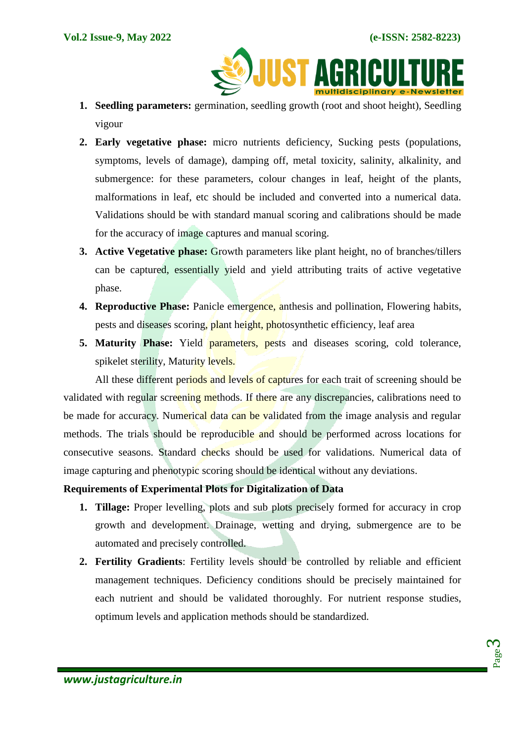**SOJUST AGRICULTU** 

- **1. Seedling parameters:** germination, seedling growth (root and shoot height), Seedling vigour
- **2. Early vegetative phase:** micro nutrients deficiency, Sucking pests (populations, symptoms, levels of damage), damping off, metal toxicity, salinity, alkalinity, and submergence: for these parameters, colour changes in leaf, height of the plants, malformations in leaf, etc should be included and converted into a numerical data. Validations should be with standard manual scoring and calibrations should be made for the accuracy of image captures and manual scoring.
- **3. Active Vegetative phase:** Growth parameters like plant height, no of branches/tillers can be captured, essentially yield and yield attributing traits of active vegetative phase.
- **4. Reproductive Phase:** Panicle emergence, anthesis and pollination, Flowering habits, pests and diseases scoring, plant height, photosynthetic efficiency, leaf area
- **5. Maturity Phase:** Yield parameters, pests and diseases scoring, cold tolerance, spikelet sterility, Maturity levels.

All these different periods and levels of captures for each trait of screening should be validated with regular screening methods. If there are any discrepancies, calibrations need to be made for accuracy. Numerical data can be validated from the image analysis and regular methods. The trials should be reproducible and should be performed across locations for consecutive seasons. Standard checks should be used for validations. Numerical data of image capturing and phenotypic scoring should be identical without any deviations.

## **Requirements of Experimental Plots for Digitalization of Data**

- **1. Tillage:** Proper levelling, plots and sub plots precisely formed for accuracy in crop growth and development. Drainage, wetting and drying, submergence are to be automated and precisely controlled.
- **2. Fertility Gradients**: Fertility levels should be controlled by reliable and efficient management techniques. Deficiency conditions should be precisely maintained for each nutrient and should be validated thoroughly. For nutrient response studies, optimum levels and application methods should be standardized.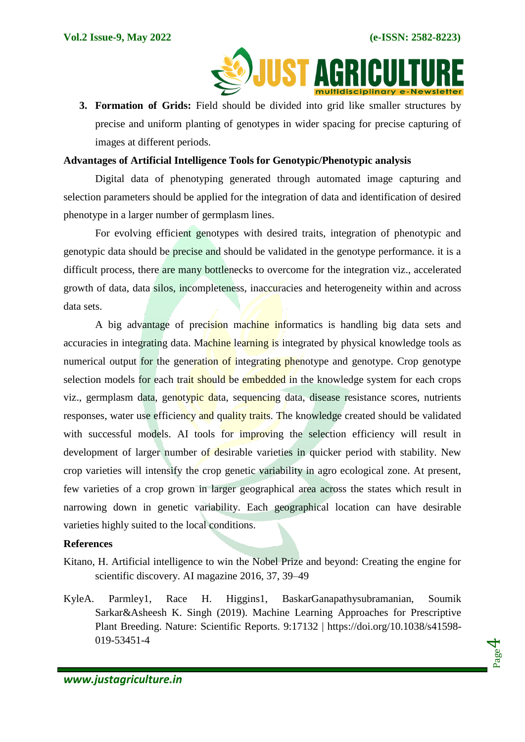

**3. Formation of Grids:** Field should be divided into grid like smaller structures by precise and uniform planting of genotypes in wider spacing for precise capturing of images at different periods.

#### **Advantages of Artificial Intelligence Tools for Genotypic/Phenotypic analysis**

Digital data of phenotyping generated through automated image capturing and selection parameters should be applied for the integration of data and identification of desired phenotype in a larger number of germplasm lines.

For evolving efficient genotypes with desired traits, integration of phenotypic and genotypic data should be precise and should be validated in the genotype performance. it is a difficult process, there are many bottlenecks to overcome for the integration viz., accelerated growth of data, data silos, incompleteness, inaccuracies and heterogeneity within and across data sets.

A big advantage of precision machine informatics is handling big data sets and accuracies in integrating data. Machine learning is integrated by physical knowledge tools as numerical output for the generation of integrating phenotype and genotype. Crop genotype selection models for each trait should be embedded in the knowledge system for each crops viz., germplasm data, genotypic data, sequencing data, disease resistance scores, nutrients responses, water use efficiency and quality traits. The knowledge created should be validated with successful models. AI tools for improving the selection efficiency will result in development of larger number of desirable varieties in quicker period with stability. New crop varieties will intensify the crop genetic variability in agro ecological zone. At present, few varieties of a crop grown in larger geographical area across the states which result in narrowing down in genetic variability. Each geographical location can have desirable varieties highly suited to the local conditions.

#### **References**

- Kitano, H. Artificial intelligence to win the Nobel Prize and beyond: Creating the engine for scientific discovery. AI magazine 2016, 37, 39–49
- KyleA. Parmley1, Race H. Higgins1, BaskarGanapathysubramanian, Soumik Sarkar&Asheesh K. Singh (2019). Machine Learning Approaches for Prescriptive Plant Breeding. Nature: Scientific Reports. 9:17132 | https://doi.org/10.1038/s41598- 019-53451-4